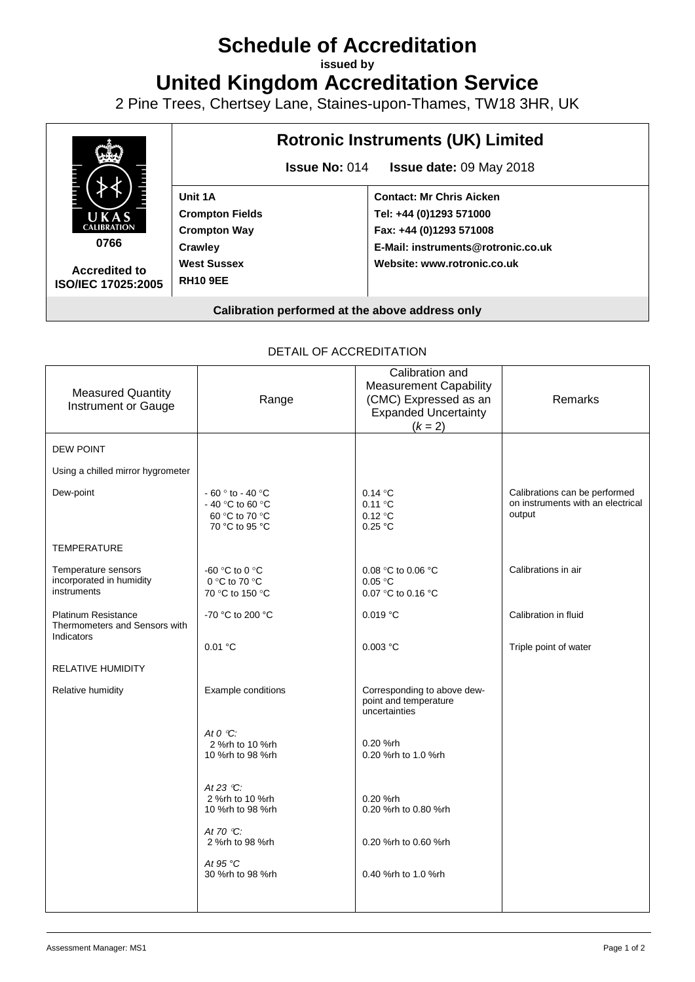## **Schedule of Accreditation**

**issued by**

**United Kingdom Accreditation Service**

2 Pine Trees, Chertsey Lane, Staines-upon-Thames, TW18 3HR, UK



## DETAIL OF ACCREDITATION

| <b>Measured Quantity</b><br>Instrument or Gauge                           | Range                                                                      | Calibration and<br><b>Measurement Capability</b><br>(CMC) Expressed as an<br><b>Expanded Uncertainty</b><br>$(k = 2)$ | Remarks                                                                      |
|---------------------------------------------------------------------------|----------------------------------------------------------------------------|-----------------------------------------------------------------------------------------------------------------------|------------------------------------------------------------------------------|
| <b>DEW POINT</b>                                                          |                                                                            |                                                                                                                       |                                                                              |
| Using a chilled mirror hygrometer                                         |                                                                            |                                                                                                                       |                                                                              |
| Dew-point                                                                 | $-60°$ to $-40°$ C<br>- 40 °C to 60 °C<br>60 °C to 70 °C<br>70 °C to 95 °C | 0.14 °C<br>$0.11 \text{ °C}$<br>0.12 °C<br>0.25 °C                                                                    | Calibrations can be performed<br>on instruments with an electrical<br>output |
| TEMPERATURE                                                               |                                                                            |                                                                                                                       |                                                                              |
| Temperature sensors<br>incorporated in humidity<br>instruments            | -60 °C to 0 °C<br>0 °C to 70 °C<br>70 °C to 150 °C                         | 0.08 °C to 0.06 °C<br>0.05 °C<br>0.07 °C to 0.16 °C                                                                   | Calibrations in air                                                          |
| <b>Platinum Resistance</b><br>Thermometers and Sensors with<br>Indicators | -70 °C to 200 °C                                                           | 0.019 °C                                                                                                              | Calibration in fluid                                                         |
|                                                                           | 0.01 °C                                                                    | 0.003 °C                                                                                                              | Triple point of water                                                        |
| <b>RELATIVE HUMIDITY</b>                                                  |                                                                            |                                                                                                                       |                                                                              |
| Relative humidity                                                         | Example conditions                                                         | Corresponding to above dew-<br>point and temperature<br>uncertainties                                                 |                                                                              |
|                                                                           | At $O^{\circ}C$ :<br>2 %rh to 10 %rh<br>10 %rh to 98 %rh                   | 0.20 %rh<br>0.20 %rh to 1.0 %rh                                                                                       |                                                                              |
|                                                                           | At 23 $°C$ :<br>2 %rh to 10 %rh<br>10 %rh to 98 %rh                        | 0.20 %rh<br>0.20 %rh to 0.80 %rh                                                                                      |                                                                              |
|                                                                           | At 70 $\degree$ C:<br>2 %rh to 98 %rh                                      | 0.20 %rh to 0.60 %rh                                                                                                  |                                                                              |
|                                                                           | At 95 $\degree$ C<br>30 %rh to 98 %rh                                      | 0.40 %rh to 1.0 %rh                                                                                                   |                                                                              |
|                                                                           |                                                                            |                                                                                                                       |                                                                              |